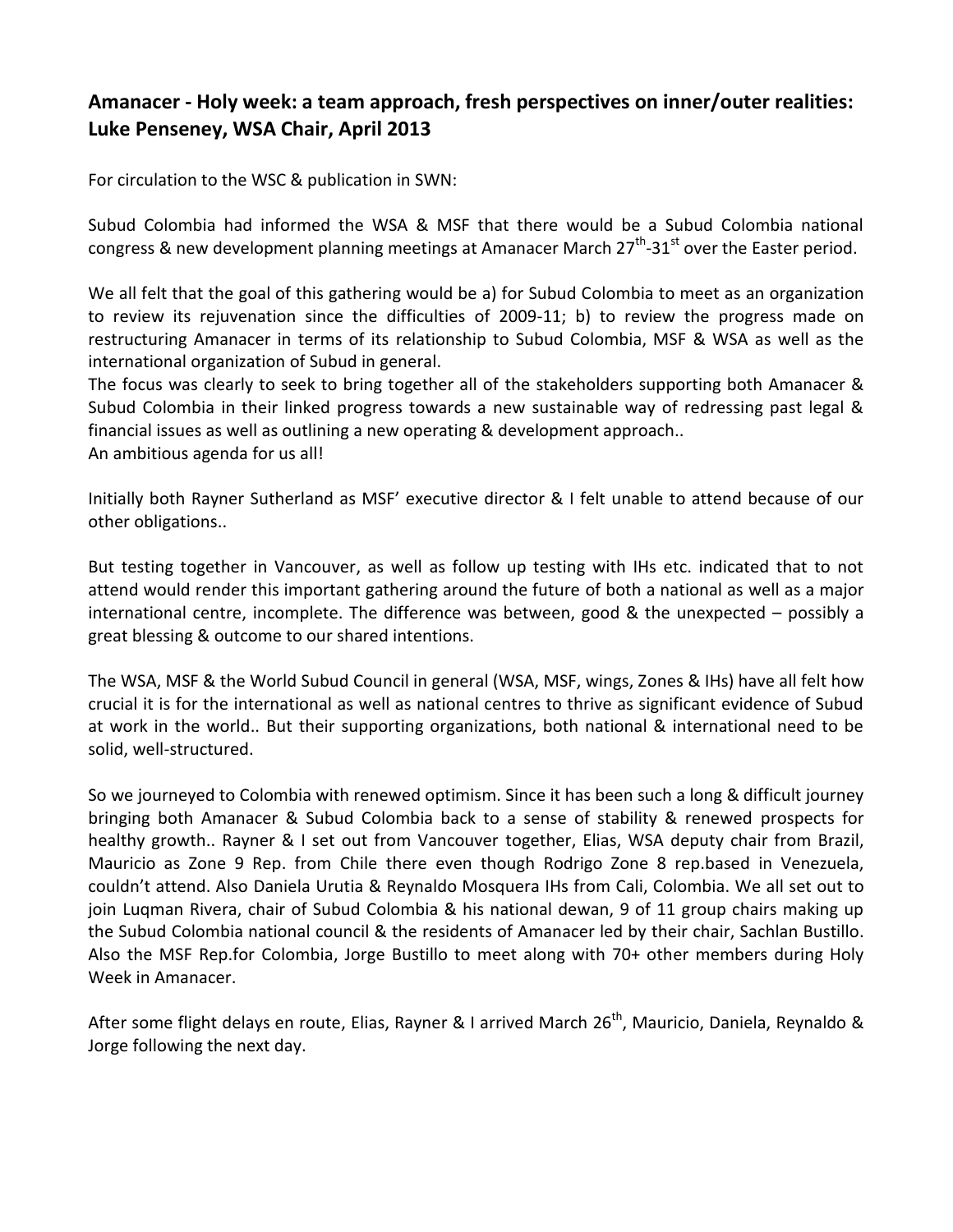# **Amanacer - Holy week: a team approach, fresh perspectives on inner/outer realities: Luke Penseney, WSA Chair, April 2013**

For circulation to the WSC & publication in SWN:

Subud Colombia had informed the WSA & MSF that there would be a Subud Colombia national congress & new development planning meetings at Amanacer March 27<sup>th</sup>-31<sup>st</sup> over the Easter period.

We all felt that the goal of this gathering would be a) for Subud Colombia to meet as an organization to review its rejuvenation since the difficulties of 2009-11; b) to review the progress made on restructuring Amanacer in terms of its relationship to Subud Colombia, MSF & WSA as well as the international organization of Subud in general.

The focus was clearly to seek to bring together all of the stakeholders supporting both Amanacer & Subud Colombia in their linked progress towards a new sustainable way of redressing past legal & financial issues as well as outlining a new operating & development approach..

An ambitious agenda for us all!

Initially both Rayner Sutherland as MSF' executive director & I felt unable to attend because of our other obligations..

But testing together in Vancouver, as well as follow up testing with IHs etc. indicated that to not attend would render this important gathering around the future of both a national as well as a major international centre, incomplete. The difference was between, good & the unexpected – possibly a great blessing & outcome to our shared intentions.

The WSA, MSF & the World Subud Council in general (WSA, MSF, wings, Zones & IHs) have all felt how crucial it is for the international as well as national centres to thrive as significant evidence of Subud at work in the world.. But their supporting organizations, both national & international need to be solid, well-structured.

So we journeyed to Colombia with renewed optimism. Since it has been such a long & difficult journey bringing both Amanacer & Subud Colombia back to a sense of stability & renewed prospects for healthy growth.. Rayner & I set out from Vancouver together, Elias, WSA deputy chair from Brazil, Mauricio as Zone 9 Rep. from Chile there even though Rodrigo Zone 8 rep.based in Venezuela, couldn't attend. Also Daniela Urutia & Reynaldo Mosquera IHs from Cali, Colombia. We all set out to join Luqman Rivera, chair of Subud Colombia & his national dewan, 9 of 11 group chairs making up the Subud Colombia national council & the residents of Amanacer led by their chair, Sachlan Bustillo. Also the MSF Rep.for Colombia, Jorge Bustillo to meet along with 70+ other members during Holy Week in Amanacer.

After some flight delays en route, Elias, Rayner & I arrived March 26<sup>th</sup>, Mauricio, Daniela, Reynaldo & Jorge following the next day.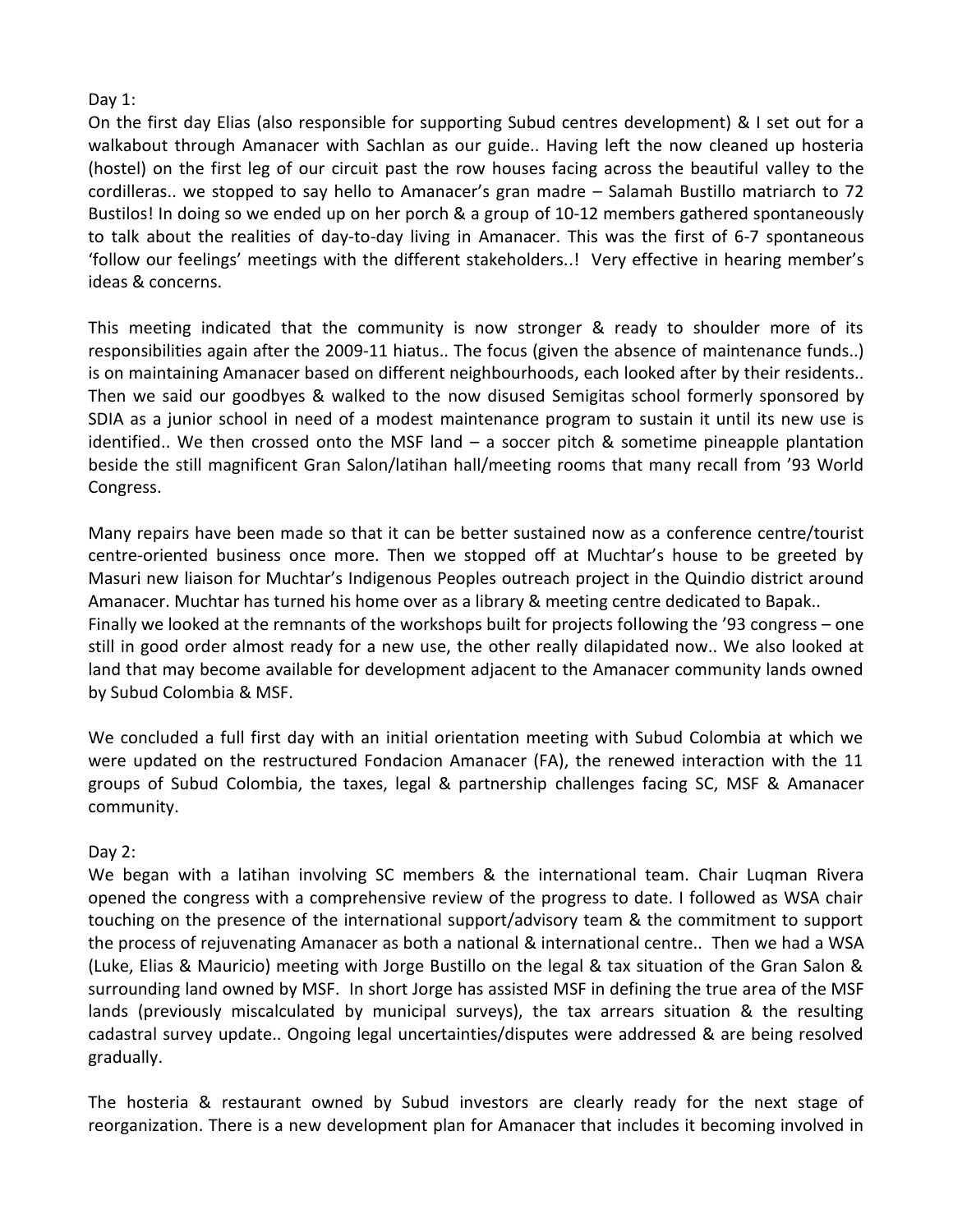### Day 1:

On the first day Elias (also responsible for supporting Subud centres development) & I set out for a walkabout through Amanacer with Sachlan as our guide.. Having left the now cleaned up hosteria (hostel) on the first leg of our circuit past the row houses facing across the beautiful valley to the cordilleras.. we stopped to say hello to Amanacer's gran madre – Salamah Bustillo matriarch to 72 Bustilos! In doing so we ended up on her porch & a group of 10-12 members gathered spontaneously to talk about the realities of day-to-day living in Amanacer. This was the first of 6-7 spontaneous 'follow our feelings' meetings with the different stakeholders..! Very effective in hearing member's ideas & concerns.

This meeting indicated that the community is now stronger & ready to shoulder more of its responsibilities again after the 2009-11 hiatus.. The focus (given the absence of maintenance funds..) is on maintaining Amanacer based on different neighbourhoods, each looked after by their residents.. Then we said our goodbyes & walked to the now disused Semigitas school formerly sponsored by SDIA as a junior school in need of a modest maintenance program to sustain it until its new use is identified.. We then crossed onto the MSF land – a soccer pitch & sometime pineapple plantation beside the still magnificent Gran Salon/latihan hall/meeting rooms that many recall from '93 World Congress.

Many repairs have been made so that it can be better sustained now as a conference centre/tourist centre-oriented business once more. Then we stopped off at Muchtar's house to be greeted by Masuri new liaison for Muchtar's Indigenous Peoples outreach project in the Quindio district around Amanacer. Muchtar has turned his home over as a library & meeting centre dedicated to Bapak.. Finally we looked at the remnants of the workshops built for projects following the '93 congress – one still in good order almost ready for a new use, the other really dilapidated now.. We also looked at land that may become available for development adjacent to the Amanacer community lands owned by Subud Colombia & MSF.

We concluded a full first day with an initial orientation meeting with Subud Colombia at which we were updated on the restructured Fondacion Amanacer (FA), the renewed interaction with the 11 groups of Subud Colombia, the taxes, legal & partnership challenges facing SC, MSF & Amanacer community.

## Day 2:

We began with a latihan involving SC members & the international team. Chair Luqman Rivera opened the congress with a comprehensive review of the progress to date. I followed as WSA chair touching on the presence of the international support/advisory team & the commitment to support the process of rejuvenating Amanacer as both a national & international centre.. Then we had a WSA (Luke, Elias & Mauricio) meeting with Jorge Bustillo on the legal & tax situation of the Gran Salon & surrounding land owned by MSF. In short Jorge has assisted MSF in defining the true area of the MSF lands (previously miscalculated by municipal surveys), the tax arrears situation & the resulting cadastral survey update.. Ongoing legal uncertainties/disputes were addressed & are being resolved gradually.

The hosteria & restaurant owned by Subud investors are clearly ready for the next stage of reorganization. There is a new development plan for Amanacer that includes it becoming involved in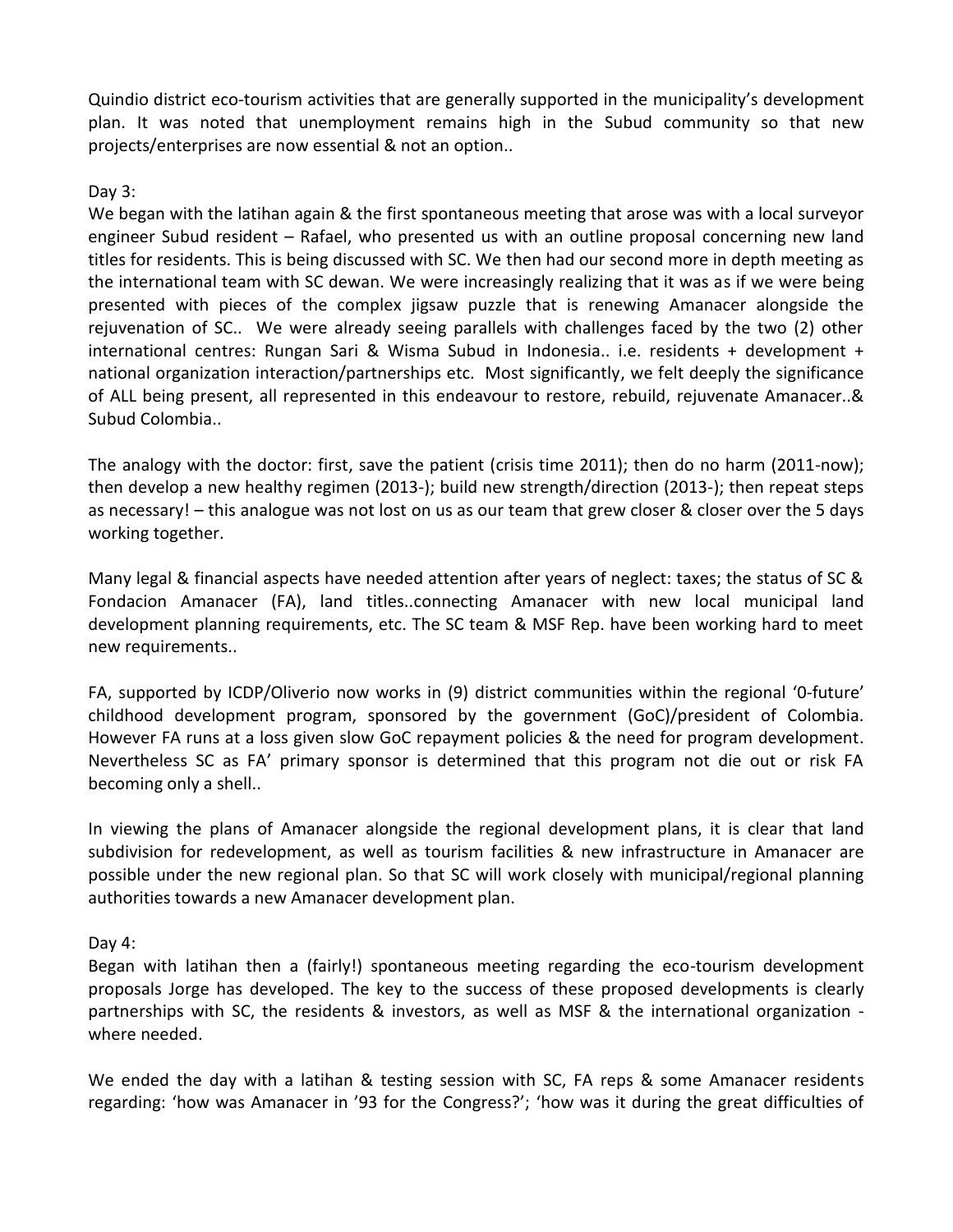Quindio district eco-tourism activities that are generally supported in the municipality's development plan. It was noted that unemployment remains high in the Subud community so that new projects/enterprises are now essential & not an option..

### Day 3:

We began with the latihan again & the first spontaneous meeting that arose was with a local surveyor engineer Subud resident – Rafael, who presented us with an outline proposal concerning new land titles for residents. This is being discussed with SC. We then had our second more in depth meeting as the international team with SC dewan. We were increasingly realizing that it was as if we were being presented with pieces of the complex jigsaw puzzle that is renewing Amanacer alongside the rejuvenation of SC.. We were already seeing parallels with challenges faced by the two (2) other international centres: Rungan Sari & Wisma Subud in Indonesia.. i.e. residents + development + national organization interaction/partnerships etc. Most significantly, we felt deeply the significance of ALL being present, all represented in this endeavour to restore, rebuild, rejuvenate Amanacer..& Subud Colombia..

The analogy with the doctor: first, save the patient (crisis time 2011); then do no harm (2011-now); then develop a new healthy regimen (2013-); build new strength/direction (2013-); then repeat steps as necessary! – this analogue was not lost on us as our team that grew closer & closer over the 5 days working together.

Many legal & financial aspects have needed attention after years of neglect: taxes; the status of SC & Fondacion Amanacer (FA), land titles..connecting Amanacer with new local municipal land development planning requirements, etc. The SC team & MSF Rep. have been working hard to meet new requirements..

FA, supported by ICDP/Oliverio now works in (9) district communities within the regional '0-future' childhood development program, sponsored by the government (GoC)/president of Colombia. However FA runs at a loss given slow GoC repayment policies & the need for program development. Nevertheless SC as FA' primary sponsor is determined that this program not die out or risk FA becoming only a shell..

In viewing the plans of Amanacer alongside the regional development plans, it is clear that land subdivision for redevelopment, as well as tourism facilities & new infrastructure in Amanacer are possible under the new regional plan. So that SC will work closely with municipal/regional planning authorities towards a new Amanacer development plan.

Day 4:

Began with latihan then a (fairly!) spontaneous meeting regarding the eco-tourism development proposals Jorge has developed. The key to the success of these proposed developments is clearly partnerships with SC, the residents & investors, as well as MSF & the international organization where needed.

We ended the day with a latihan & testing session with SC, FA reps & some Amanacer residents regarding: 'how was Amanacer in '93 for the Congress?'; 'how was it during the great difficulties of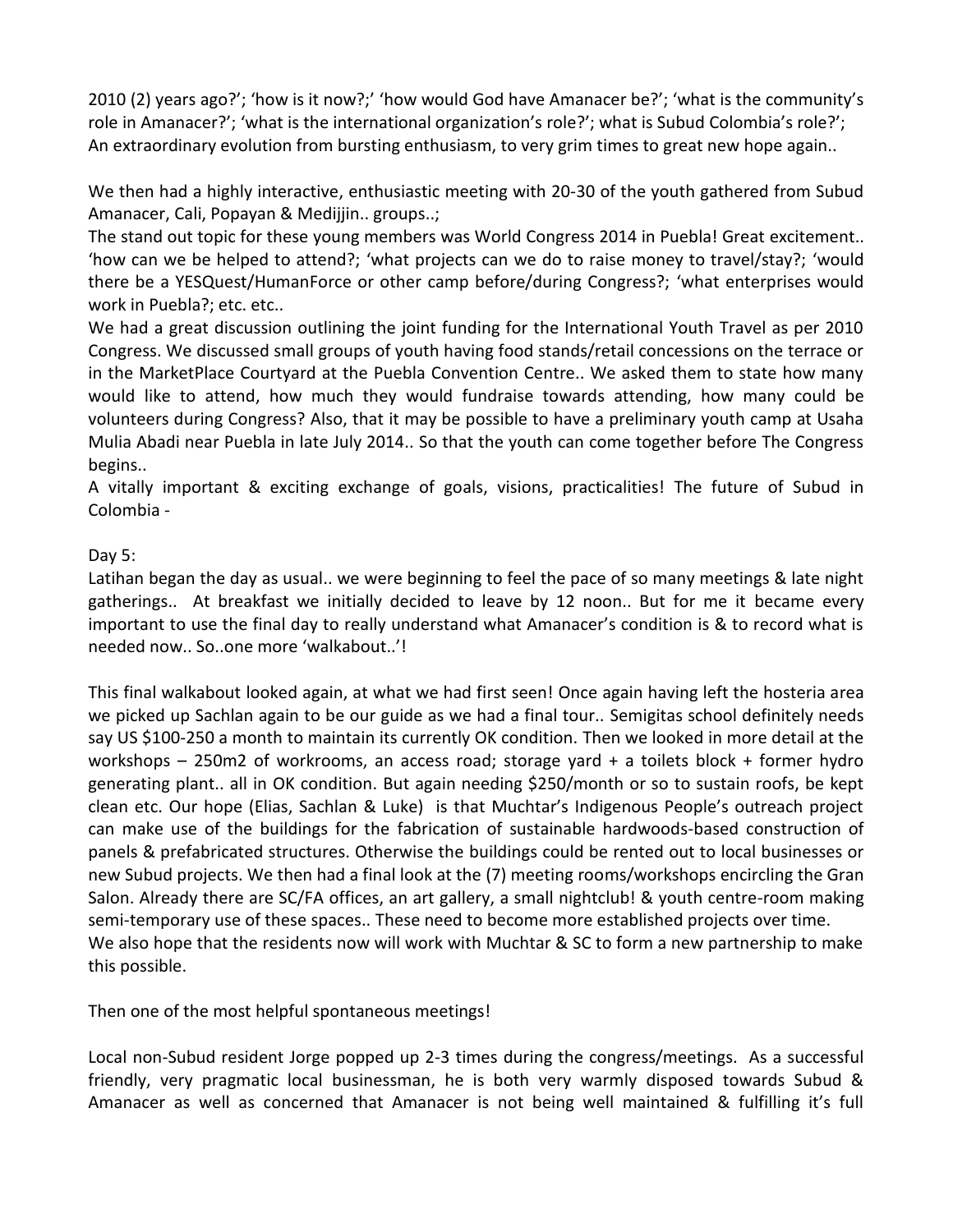2010 (2) years ago?'; 'how is it now?;' 'how would God have Amanacer be?'; 'what is the community's role in Amanacer?'; 'what is the international organization's role?'; what is Subud Colombia's role?'; An extraordinary evolution from bursting enthusiasm, to very grim times to great new hope again..

We then had a highly interactive, enthusiastic meeting with 20-30 of the youth gathered from Subud Amanacer, Cali, Popayan & Medijjin.. groups..;

The stand out topic for these young members was World Congress 2014 in Puebla! Great excitement.. 'how can we be helped to attend?; 'what projects can we do to raise money to travel/stay?; 'would there be a YESQuest/HumanForce or other camp before/during Congress?; 'what enterprises would work in Puebla?; etc. etc..

We had a great discussion outlining the joint funding for the International Youth Travel as per 2010 Congress. We discussed small groups of youth having food stands/retail concessions on the terrace or in the MarketPlace Courtyard at the Puebla Convention Centre.. We asked them to state how many would like to attend, how much they would fundraise towards attending, how many could be volunteers during Congress? Also, that it may be possible to have a preliminary youth camp at Usaha Mulia Abadi near Puebla in late July 2014.. So that the youth can come together before The Congress begins..

A vitally important & exciting exchange of goals, visions, practicalities! The future of Subud in Colombia -

## Day 5:

Latihan began the day as usual.. we were beginning to feel the pace of so many meetings & late night gatherings.. At breakfast we initially decided to leave by 12 noon.. But for me it became every important to use the final day to really understand what Amanacer's condition is & to record what is needed now.. So..one more 'walkabout..'!

This final walkabout looked again, at what we had first seen! Once again having left the hosteria area we picked up Sachlan again to be our guide as we had a final tour.. Semigitas school definitely needs say US \$100-250 a month to maintain its currently OK condition. Then we looked in more detail at the workshops – 250m2 of workrooms, an access road; storage yard + a toilets block + former hydro generating plant.. all in OK condition. But again needing \$250/month or so to sustain roofs, be kept clean etc. Our hope (Elias, Sachlan & Luke) is that Muchtar's Indigenous People's outreach project can make use of the buildings for the fabrication of sustainable hardwoods-based construction of panels & prefabricated structures. Otherwise the buildings could be rented out to local businesses or new Subud projects. We then had a final look at the (7) meeting rooms/workshops encircling the Gran Salon. Already there are SC/FA offices, an art gallery, a small nightclub! & youth centre-room making semi-temporary use of these spaces.. These need to become more established projects over time. We also hope that the residents now will work with Muchtar & SC to form a new partnership to make this possible.

Then one of the most helpful spontaneous meetings!

Local non-Subud resident Jorge popped up 2-3 times during the congress/meetings. As a successful friendly, very pragmatic local businessman, he is both very warmly disposed towards Subud & Amanacer as well as concerned that Amanacer is not being well maintained & fulfilling it's full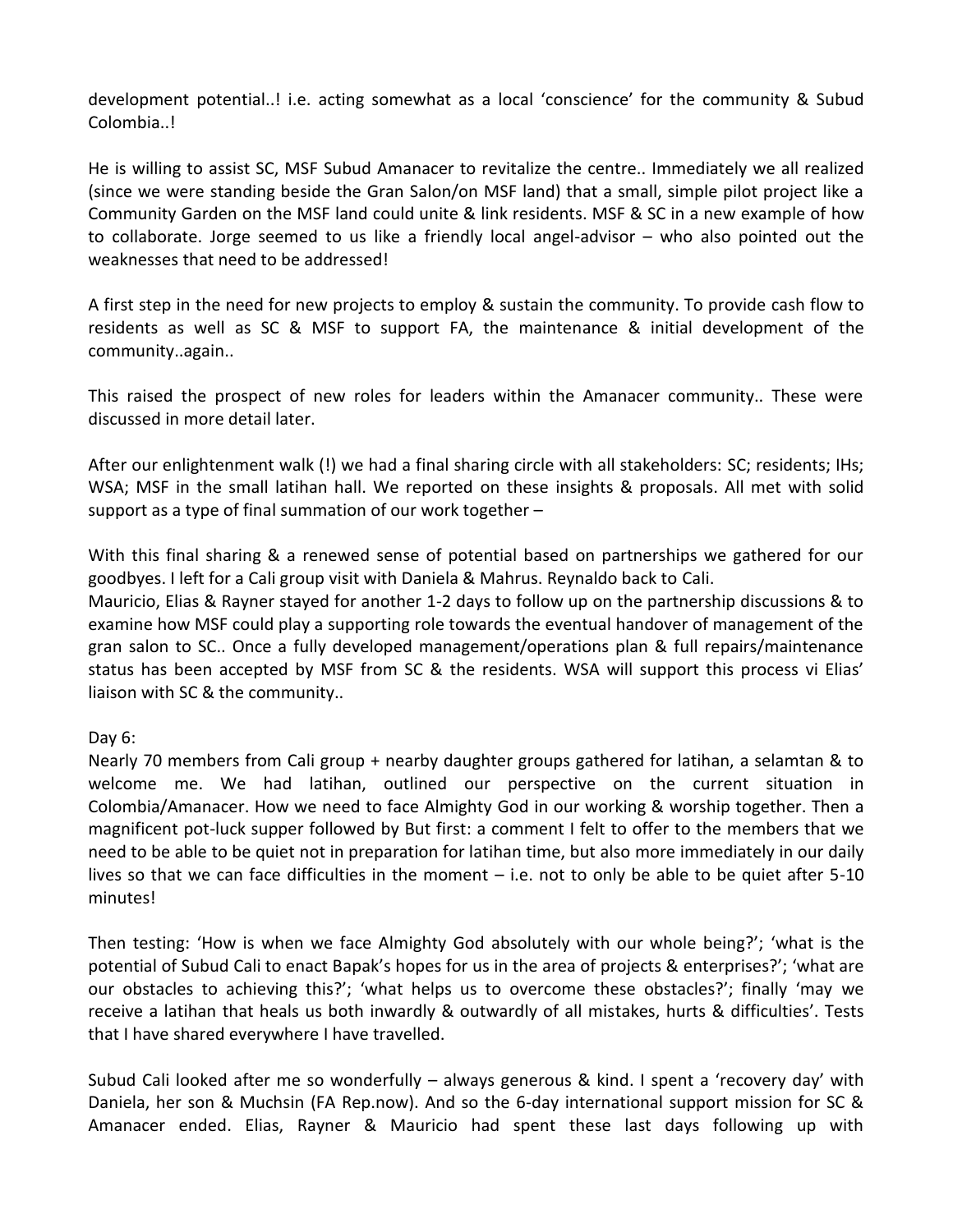development potential..! i.e. acting somewhat as a local 'conscience' for the community & Subud Colombia..!

He is willing to assist SC, MSF Subud Amanacer to revitalize the centre.. Immediately we all realized (since we were standing beside the Gran Salon/on MSF land) that a small, simple pilot project like a Community Garden on the MSF land could unite & link residents. MSF & SC in a new example of how to collaborate. Jorge seemed to us like a friendly local angel-advisor – who also pointed out the weaknesses that need to be addressed!

A first step in the need for new projects to employ & sustain the community. To provide cash flow to residents as well as SC & MSF to support FA, the maintenance & initial development of the community..again..

This raised the prospect of new roles for leaders within the Amanacer community.. These were discussed in more detail later.

After our enlightenment walk (!) we had a final sharing circle with all stakeholders: SC; residents; IHs; WSA; MSF in the small latihan hall. We reported on these insights & proposals. All met with solid support as a type of final summation of our work together –

With this final sharing & a renewed sense of potential based on partnerships we gathered for our goodbyes. I left for a Cali group visit with Daniela & Mahrus. Reynaldo back to Cali.

Mauricio, Elias & Rayner stayed for another 1-2 days to follow up on the partnership discussions & to examine how MSF could play a supporting role towards the eventual handover of management of the gran salon to SC.. Once a fully developed management/operations plan & full repairs/maintenance status has been accepted by MSF from SC & the residents. WSA will support this process vi Elias' liaison with SC & the community..

#### Day 6:

Nearly 70 members from Cali group + nearby daughter groups gathered for latihan, a selamtan & to welcome me. We had latihan, outlined our perspective on the current situation in Colombia/Amanacer. How we need to face Almighty God in our working & worship together. Then a magnificent pot-luck supper followed by But first: a comment I felt to offer to the members that we need to be able to be quiet not in preparation for latihan time, but also more immediately in our daily lives so that we can face difficulties in the moment – i.e. not to only be able to be quiet after 5-10 minutes!

Then testing: 'How is when we face Almighty God absolutely with our whole being?'; 'what is the potential of Subud Cali to enact Bapak's hopes for us in the area of projects & enterprises?'; 'what are our obstacles to achieving this?'; 'what helps us to overcome these obstacles?'; finally 'may we receive a latihan that heals us both inwardly & outwardly of all mistakes, hurts & difficulties'. Tests that I have shared everywhere I have travelled.

Subud Cali looked after me so wonderfully – always generous & kind. I spent a 'recovery day' with Daniela, her son & Muchsin (FA Rep.now). And so the 6-day international support mission for SC & Amanacer ended. Elias, Rayner & Mauricio had spent these last days following up with